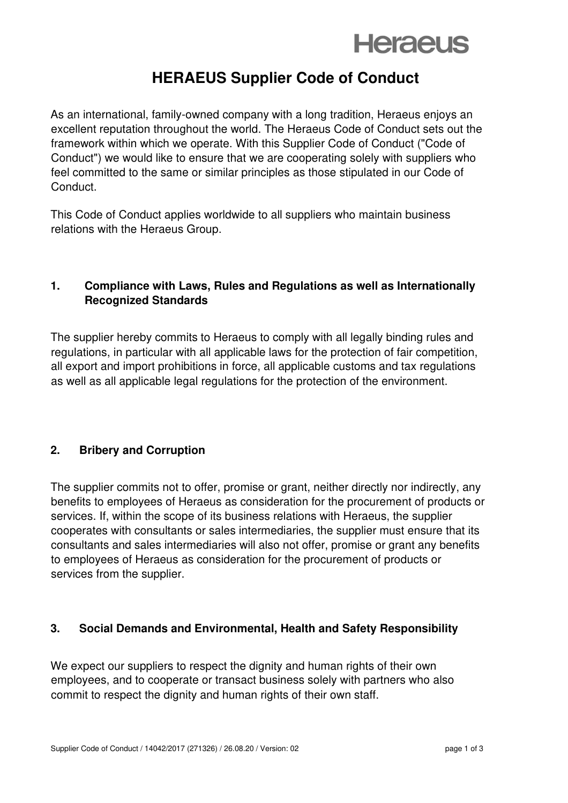## **Heraeus**

### **HERAEUS Supplier Code of Conduct**

As an international, family-owned company with a long tradition, Heraeus enjoys an excellent reputation throughout the world. The Heraeus Code of Conduct sets out the framework within which we operate. With this Supplier Code of Conduct ("Code of Conduct") we would like to ensure that we are cooperating solely with suppliers who feel committed to the same or similar principles as those stipulated in our Code of Conduct.

This Code of Conduct applies worldwide to all suppliers who maintain business relations with the Heraeus Group.

### **1. Compliance with Laws, Rules and Regulations as well as Internationally Recognized Standards**

The supplier hereby commits to Heraeus to comply with all legally binding rules and regulations, in particular with all applicable laws for the protection of fair competition, all export and import prohibitions in force, all applicable customs and tax regulations as well as all applicable legal regulations for the protection of the environment.

### **2. Bribery and Corruption**

The supplier commits not to offer, promise or grant, neither directly nor indirectly, any benefits to employees of Heraeus as consideration for the procurement of products or services. If, within the scope of its business relations with Heraeus, the supplier cooperates with consultants or sales intermediaries, the supplier must ensure that its consultants and sales intermediaries will also not offer, promise or grant any benefits to employees of Heraeus as consideration for the procurement of products or services from the supplier.

### **3. Social Demands and Environmental, Health and Safety Responsibility**

We expect our suppliers to respect the dignity and human rights of their own employees, and to cooperate or transact business solely with partners who also commit to respect the dignity and human rights of their own staff.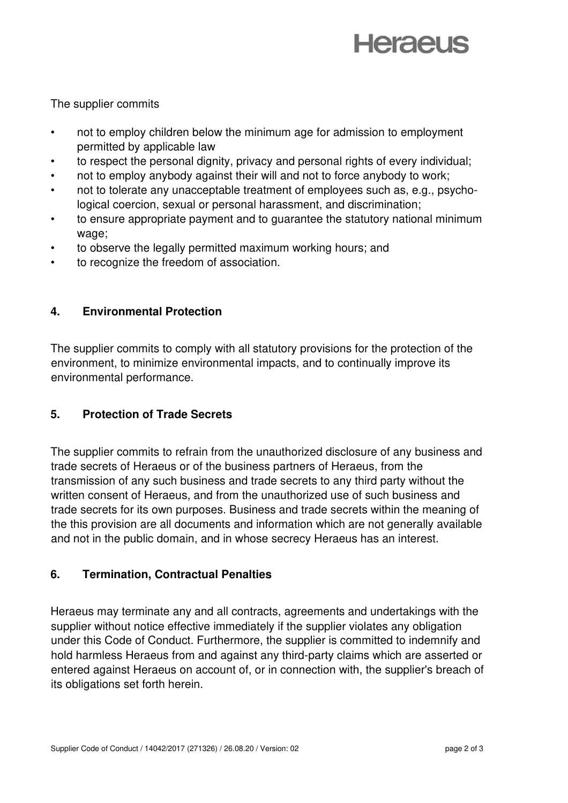# **Heraeus**

The supplier commits

- not to employ children below the minimum age for admission to employment permitted by applicable law
- to respect the personal dignity, privacy and personal rights of every individual;
- not to employ anybody against their will and not to force anybody to work;
- not to tolerate any unacceptable treatment of employees such as, e.g., psychological coercion, sexual or personal harassment, and discrimination;
- to ensure appropriate payment and to guarantee the statutory national minimum wage;
- to observe the legally permitted maximum working hours; and
- to recognize the freedom of association.

### **4. Environmental Protection**

The supplier commits to comply with all statutory provisions for the protection of the environment, to minimize environmental impacts, and to continually improve its environmental performance.

### **5. Protection of Trade Secrets**

The supplier commits to refrain from the unauthorized disclosure of any business and trade secrets of Heraeus or of the business partners of Heraeus, from the transmission of any such business and trade secrets to any third party without the written consent of Heraeus, and from the unauthorized use of such business and trade secrets for its own purposes. Business and trade secrets within the meaning of the this provision are all documents and information which are not generally available and not in the public domain, and in whose secrecy Heraeus has an interest.

### **6. Termination, Contractual Penalties**

Heraeus may terminate any and all contracts, agreements and undertakings with the supplier without notice effective immediately if the supplier violates any obligation under this Code of Conduct. Furthermore, the supplier is committed to indemnify and hold harmless Heraeus from and against any third-party claims which are asserted or entered against Heraeus on account of, or in connection with, the supplier's breach of its obligations set forth herein.